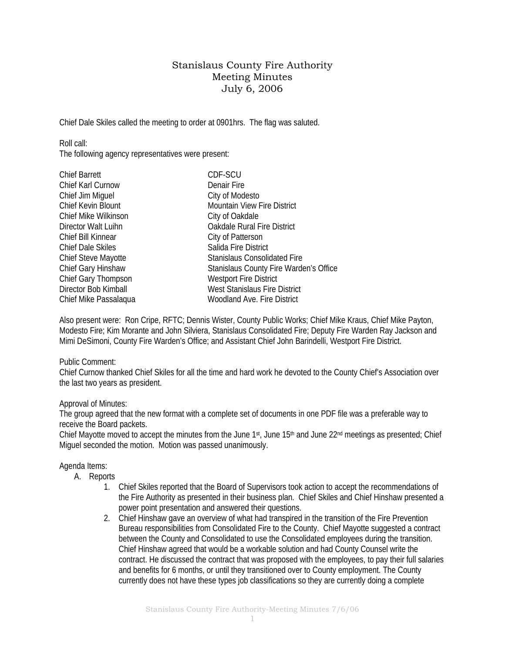## Stanislaus County Fire Authority Meeting Minutes July 6, 2006

Chief Dale Skiles called the meeting to order at 0901hrs. The flag was saluted.

Roll call:

The following agency representatives were present:

| <b>Chief Barrett</b>  | CDF-SCU                                |
|-----------------------|----------------------------------------|
| Chief Karl Curnow     | Denair Fire                            |
| Chief Jim Miquel      | City of Modesto                        |
| Chief Kevin Blount    | <b>Mountain View Fire District</b>     |
| Chief Mike Wilkinson  | City of Oakdale                        |
| Director Walt Luihn   | <b>Oakdale Rural Fire District</b>     |
| Chief Bill Kinnear    | City of Patterson                      |
| Chief Dale Skiles     | Salida Fire District                   |
| Chief Steve Mayotte   | <b>Stanislaus Consolidated Fire</b>    |
| Chief Gary Hinshaw    | Stanislaus County Fire Warden's Office |
| Chief Gary Thompson   | <b>Westport Fire District</b>          |
| Director Bob Kimball  | West Stanislaus Fire District          |
| Chief Mike Passalaqua | Woodland Ave. Fire District            |
|                       |                                        |

Also present were: Ron Cripe, RFTC; Dennis Wister, County Public Works; Chief Mike Kraus, Chief Mike Payton, Modesto Fire; Kim Morante and John Silviera, Stanislaus Consolidated Fire; Deputy Fire Warden Ray Jackson and Mimi DeSimoni, County Fire Warden's Office; and Assistant Chief John Barindelli, Westport Fire District.

## Public Comment:

Chief Curnow thanked Chief Skiles for all the time and hard work he devoted to the County Chief's Association over the last two years as president.

## Approval of Minutes:

The group agreed that the new format with a complete set of documents in one PDF file was a preferable way to receive the Board packets.

Chief Mayotte moved to accept the minutes from the June 1st, June 15th and June 22nd meetings as presented; Chief Miguel seconded the motion. Motion was passed unanimously.

## Agenda Items:

- A. Reports
	- 1. Chief Skiles reported that the Board of Supervisors took action to accept the recommendations of the Fire Authority as presented in their business plan. Chief Skiles and Chief Hinshaw presented a power point presentation and answered their questions.
	- 2. Chief Hinshaw gave an overview of what had transpired in the transition of the Fire Prevention Bureau responsibilities from Consolidated Fire to the County. Chief Mayotte suggested a contract between the County and Consolidated to use the Consolidated employees during the transition. Chief Hinshaw agreed that would be a workable solution and had County Counsel write the contract. He discussed the contract that was proposed with the employees, to pay their full salaries and benefits for 6 months, or until they transitioned over to County employment. The County currently does not have these types job classifications so they are currently doing a complete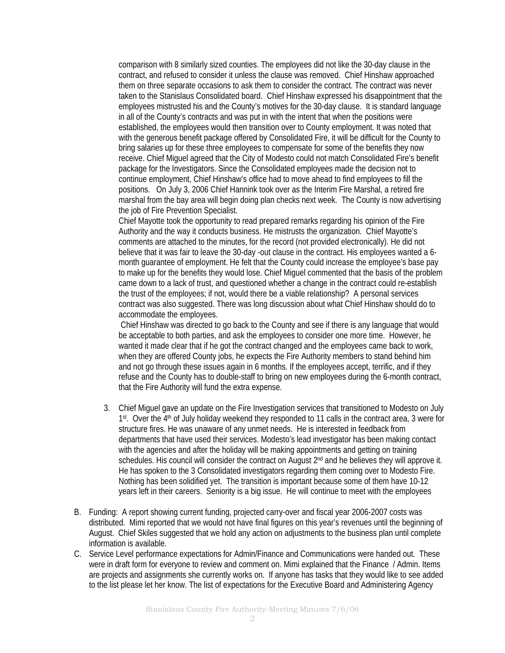comparison with 8 similarly sized counties. The employees did not like the 30-day clause in the contract, and refused to consider it unless the clause was removed. Chief Hinshaw approached them on three separate occasions to ask them to consider the contract. The contract was never taken to the Stanislaus Consolidated board. Chief Hinshaw expressed his disappointment that the employees mistrusted his and the County's motives for the 30-day clause. It is standard language in all of the County's contracts and was put in with the intent that when the positions were established, the employees would then transition over to County employment. It was noted that with the generous benefit package offered by Consolidated Fire, it will be difficult for the County to bring salaries up for these three employees to compensate for some of the benefits they now receive. Chief Miguel agreed that the City of Modesto could not match Consolidated Fire's benefit package for the Investigators. Since the Consolidated employees made the decision not to continue employment, Chief Hinshaw's office had to move ahead to find employees to fill the positions. On July 3, 2006 Chief Hannink took over as the Interim Fire Marshal, a retired fire marshal from the bay area will begin doing plan checks next week. The County is now advertising the job of Fire Prevention Specialist.

Chief Mayotte took the opportunity to read prepared remarks regarding his opinion of the Fire Authority and the way it conducts business. He mistrusts the organization. Chief Mayotte's comments are attached to the minutes, for the record (not provided electronically). He did not believe that it was fair to leave the 30-day -out clause in the contract. His employees wanted a 6 month guarantee of employment. He felt that the County could increase the employee's base pay to make up for the benefits they would lose. Chief Miguel commented that the basis of the problem came down to a lack of trust, and questioned whether a change in the contract could re-establish the trust of the employees; if not, would there be a viable relationship? A personal services contract was also suggested. There was long discussion about what Chief Hinshaw should do to accommodate the employees.

 Chief Hinshaw was directed to go back to the County and see if there is any language that would be acceptable to both parties, and ask the employees to consider one more time. However, he wanted it made clear that if he got the contract changed and the employees came back to work, when they are offered County jobs, he expects the Fire Authority members to stand behind him and not go through these issues again in 6 months. If the employees accept, terrific, and if they refuse and the County has to double-staff to bring on new employees during the 6-month contract, that the Fire Authority will fund the extra expense.

- 3. Chief Miguel gave an update on the Fire Investigation services that transitioned to Modesto on July 1st. Over the 4<sup>th</sup> of July holiday weekend they responded to 11 calls in the contract area, 3 were for structure fires. He was unaware of any unmet needs. He is interested in feedback from departments that have used their services. Modesto's lead investigator has been making contact with the agencies and after the holiday will be making appointments and getting on training schedules. His council will consider the contract on August  $2<sup>nd</sup>$  and he believes they will approve it. He has spoken to the 3 Consolidated investigators regarding them coming over to Modesto Fire. Nothing has been solidified yet. The transition is important because some of them have 10-12 years left in their careers. Seniority is a big issue. He will continue to meet with the employees
- B. Funding: A report showing current funding, projected carry-over and fiscal year 2006-2007 costs was distributed. Mimi reported that we would not have final figures on this year's revenues until the beginning of August. Chief Skiles suggested that we hold any action on adjustments to the business plan until complete information is available.
- C. Service Level performance expectations for Admin/Finance and Communications were handed out. These were in draft form for everyone to review and comment on. Mimi explained that the Finance / Admin. Items are projects and assignments she currently works on. If anyone has tasks that they would like to see added to the list please let her know. The list of expectations for the Executive Board and Administering Agency